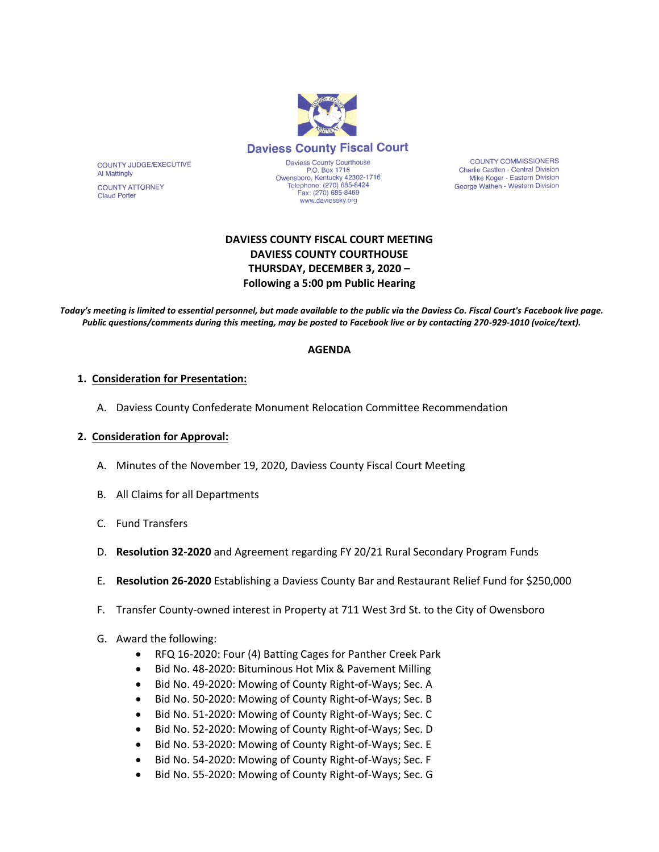

**COUNTY COMMISSIONERS** Charlie Castlen - Central Division Mike Koger - Eastern Division George Wathen - Western Division

# **DAVIESS COUNTY FISCAL COURT MEETING DAVIESS COUNTY COURTHOUSE THURSDAY, DECEMBER 3, 2020 – Following a 5:00 pm Public Hearing**

*Today's meeting is limited to essential personnel, but made available to the public via the Daviess Co. Fiscal Court's Facebook live page. Public questions/comments during this meeting, may be posted to Facebook live or by contacting 270-929-1010 (voice/text).*

#### **AGENDA**

#### **1. Consideration for Presentation:**

COUNTY JUDGE/EXECUTIVE

**COUNTY ATTORNEY** 

**Al Mattingly** 

**Claud Porter** 

A. Daviess County Confederate Monument Relocation Committee Recommendation

#### **2. Consideration for Approval:**

- A. Minutes of the November 19, 2020, Daviess County Fiscal Court Meeting
- B. All Claims for all Departments
- C. Fund Transfers
- D. **Resolution 32-2020** and Agreement regarding FY 20/21 Rural Secondary Program Funds
- E. **Resolution 26-2020** Establishing a Daviess County Bar and Restaurant Relief Fund for \$250,000
- F. Transfer County-owned interest in Property at 711 West 3rd St. to the City of Owensboro
- G. Award the following:
	- RFQ 16-2020: Four (4) Batting Cages for Panther Creek Park
	- Bid No. 48-2020: Bituminous Hot Mix & Pavement Milling
	- Bid No. 49-2020: Mowing of County Right-of-Ways; Sec. A
	- Bid No. 50-2020: Mowing of County Right-of-Ways; Sec. B
	- Bid No. 51-2020: Mowing of County Right-of-Ways; Sec. C
	- Bid No. 52-2020: Mowing of County Right-of-Ways; Sec. D
	- Bid No. 53-2020: Mowing of County Right-of-Ways; Sec. E
	- Bid No. 54-2020: Mowing of County Right-of-Ways; Sec. F
	- Bid No. 55-2020: Mowing of County Right-of-Ways; Sec. G